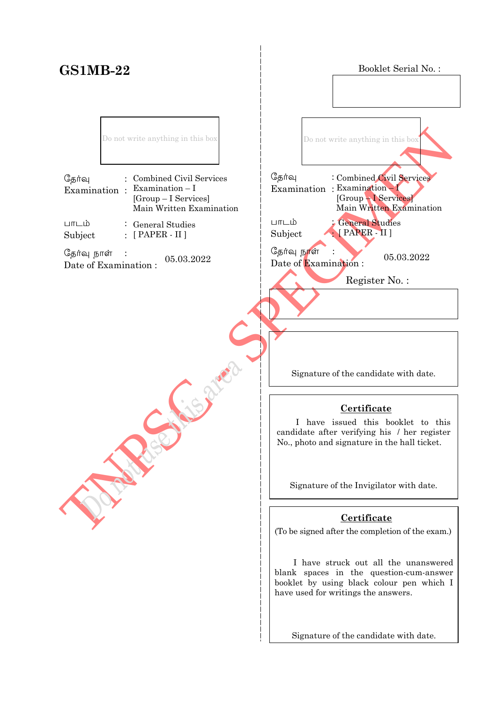## **GS1MB-22**

Booklet Serial No. :

Do not write anything in this box

| தேர்வு | : Combined Civil Services                                                            |
|--------|--------------------------------------------------------------------------------------|
|        | Examination : Examination $-I$<br>$[Group-I\; Services]$<br>Main Written Examination |
| பாடம்  | $\therefore$ General Studies                                                         |

Subject :  $\colon$  [ PAPER - II ]

தேர்வு நாள்  $\frac{C_{\frac{1}{2}}}{\frac{1}{2}}$   $\frac{C_{\frac{1}{2}}}{\frac{1}{2}}$   $\frac{C_{\frac{1}{2}}}{\frac{1}{2}}$   $\frac{C_{\frac{1}{2}}}{\frac{1}{2}}$   $\frac{C_{\frac{1}{2}}}{\frac{1}{2}}$   $\frac{C_{\frac{1}{2}}}{\frac{1}{2}}$   $\frac{C_{\frac{1}{2}}}{\frac{1}{2}}$   $\frac{C_{\frac{1}{2}}}{\frac{1}{2}}$   $\frac{C_{\frac{1}{2}}}{\frac{1}{2}}$   $\frac{C_{\frac{1}{2}}}{$ 

TNPSC - SPECIMEN தேர்வு Examination : Examination – I  $L$ m $L$ ம் Subject : Date of Examination :  $05.03.2022$ j Do not write anything in this box General Studies [ PAPER - II ] Combined Civil Services [Group – I Services] Main Written Examination Register No. :

Signature of the candidate with date.

#### **Certificate**

 I have issued this booklet to this candidate after verifying his / her register No., photo and signature in the hall ticket.

Signature of the Invigilator with date.

#### **Certificate**

(To be signed after the completion of the exam.)

 I have struck out all the unanswered blank spaces in the question-cum-answer booklet by using black colour pen which I have used for writings the answers.

Signature of the candidate with date.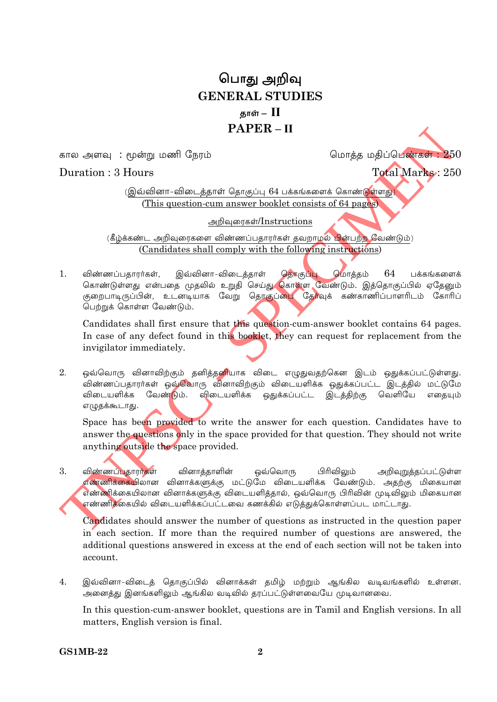# பொது அறிவு **GENERAL STUDIES** தாள் —  $\, \Pi \,$  $PAPER - II$

கால அளவு : மூன்று மணி நேரம்

Duration: 3 Hours

மொத்த மதிப்பெண்கள்: 250

Total Marks: 250

(இவ்வினா-விடைத்தாள் தொகுப்பு 64 பக்கங்களைக் கொண்டுள்ளது) (This question-cum answer booklet consists of 64 pages)

அறிவுரைகள்/Instructions

(கீழ்க்கண்ட அறிவுரைகளை விண்ணப்பதாரர்கள் தவறாமல் பின்பற்ற வேண்டும்) (Candidates shall comply with the following instructions)

 $1<sub>1</sub>$ விண்ணப்பகாரர்கள், இவ்வினா-விடைத்தாள் தொகுப்பு மொத்தம் 64 பக்கங்களைக் கொண்டுள்ளது என்பதை முதலில் உறுதி செய்த<mark>ு கொள்ள வேண்டும்.</mark> இத்தொகுப்பில் ஏதேனும் குறைபாடிருப்பின், உடனடியாக வேறு தொகுப்பை தேர்வுக் கண்காணிப்பாளரிடம் கோரிப் பெற்றுக் கொள்ள வேண்டும்.

Candidates shall first ensure that this question-cum-answer booklet contains 64 pages. In case of any defect found in this booklet, they can request for replacement from the invigilator immediately.

ஒவ்வொரு வினாவிற்கும் தனித்தனியாக விடை எழுதுவதற்கென இடம் ஒதுக்கப்பட்டுள்ளது.  $2^{\circ}$ .<br>விண்ணப்பதாரா்கள் ஒவ்வொரு வினாவிற்கும் விடையளிக்க ஒதுக்கப்பட்ட இடத்தில் மட்டுமே வேண்டும். விடையளிக்க விடையளிக்க ஒதுக்கப்பட்ட இடத்திற்கு வெளியே எகையும் எழுதக்கூடாது.

Space has been provided to write the answer for each question. Candidates have to answer the questions only in the space provided for that question. They should not write anything outside the space provided.

 $3<sub>1</sub>$ விண்ணப்பதாரர்கள் வினாத்தாளின் ஒவ்வொரு பிரிவிலும் அறிவுறுத்தப்பட்டுள்ள <mark>எண்ணிக்கையி</mark>லான வினாக்களுக்கு மட்டுமே விடையளிக்க வேண்டும். அதற்கு மிகையான எண்ணிக்கையிலான வினாக்களுக்கு விடையளித்தால், ஒவ்வொரு பிரிவின் முடிவிலும் மிகையான எண்ணிக்கையில் விடையளிக்கப்பட்டவை கணக்கில் எடுத்துக்கொள்ளப்பட மாட்டாது.

Candidates should answer the number of questions as instructed in the question paper in each section. If more than the required number of questions are answered, the additional questions answered in excess at the end of each section will not be taken into account.

இவ்வினா-விடைத் தொகுப்பில் வினாக்கள் தமிழ் மற்றும் ஆங்கில வடிவங்களில் உள்ளன.  $4.$ அனைத்து இனங்களிலும் ஆங்கில வடிவில் தரப்பட்டுள்ளவையே முடிவானவை.

In this question-cum-answer booklet, questions are in Tamil and English versions. In all matters, English version is final.

**GS1MB-22**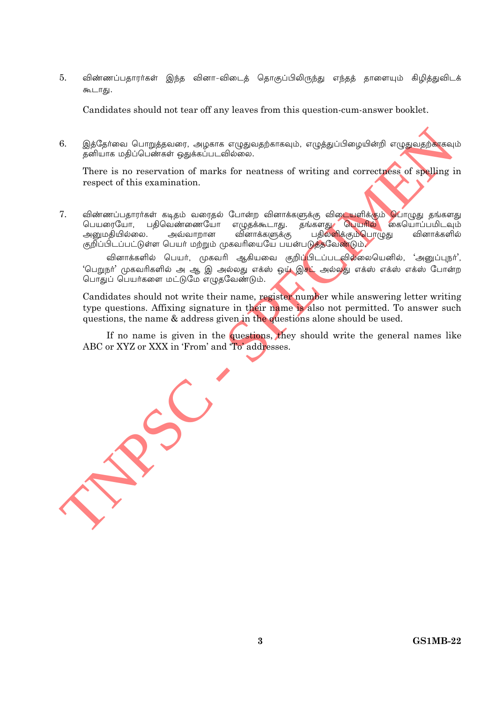$5<sub>1</sub>$ விண்ணப்பதாரர்கள் இந்த வினா-விடைத் தொகுப்பிலிருந்து எந்தத் தாளையும் கிழித்துவிடக் கூடாது.

Candidates should not tear off any leaves from this question-cum-answer booklet.

6. இத்தேர்வை பொறுத்தவரை, அழகாக எழுதுவதற்காகவும், எழுத்துப்பிழையின்றி எழுதுவதற்காகவும் தனியாக மதிப்பெண்கள் ஒதுக்கப்படவில்லை.

There is no reservation of marks for neatness of writing and correctness of spelling in respect of this examination.

7. விண்ணப்பதாரா்கள் கடிதம் வரைதல் போன்ற வினாக்களுக்கு விடையளிக்கும் **பொ**ழுது தங்களது பெயரையோ, பதிவெண்ணையோ எழுதக்கூடாது. தங்களது பெயரில் கையொப்பமிடவும் பதிலளிக்கும்பொழுது அனுமகியில்லை. அவ்வாறான வினாக்களுக்கு வினாக்களில் குறிப்பிடப்பட்டுள்ள பெயர் மற்றும் முகவரியையே பயன்படுத்தவேண்டும்.

வினாக்களில் பெயர், முகவரி ஆகியவை குறிப்<mark>பிடப்படவில்லையெனில், 'அனுப்புநர்'</mark>, 'பெறுநா' முகவரிகளில் அ ஆ இ அல்லது எக்ஸ் ஒ**ழ் இசட்** அல்லது எக்ஸ் எக்ஸ் எக்ஸ் போன்ற பொதுப் பெயர்களை மட்டுமே எழுதவேண்டும்.

Candidates should not write their name, register number while answering letter writing type questions. Affixing signature in their name is also not permitted. To answer such questions, the name & address given in the questions alone should be used.

If no name is given in the questions, they should write the general names like ABC or XYZ or XXX in 'From' and 'To' addresses.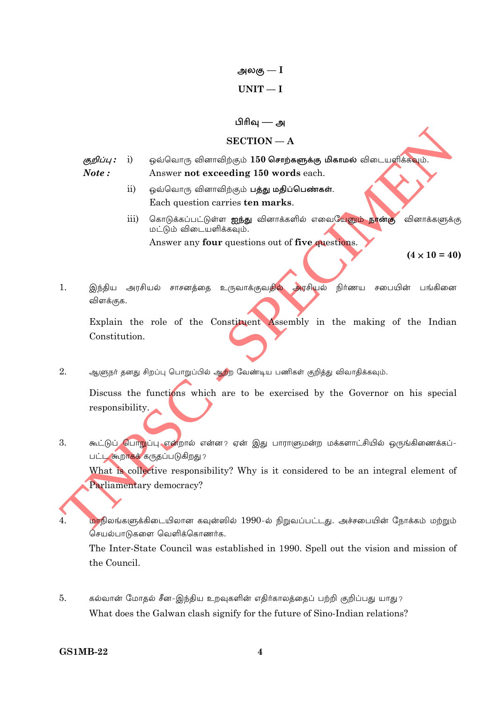அலகு —  $\mathrm{I}% _{1}\left( \Gamma\right)$  $UNIT-I$ 

#### பிரிவு — அ

#### $SECTION - A$

- குறிப்பு :  $i)$ ஒவ்வொரு வினாவிற்கும் 150 சொற்களுக்கு மிகாமல் விடையளிக்கவும். Note: Answer not exceeding 150 words each.
	- $\overline{11}$ ஒவ்வொரு வினாவிற்கும் பத்து மதிப்பெண்கள். Each question carries ten marks.
	- $\overline{111}$ கொடுக்கப்பட்டுள்ள **ஐந்து** வினாக்களில் எவையேனும் நான்கு வினாக்களுக்கு மட்டும் விடையளிக்கவும். Answer any **four** questions out of **five questions**.

 $(4 \times 10 = 40)$ 

 $1.$ இந்திய அரசியல் சாசனத்தை உருவாக்குவதில் அரசியல் நிர்ணய சபையின் பங்கினை விளக்குக.

Explain the role of the Constituent Assembly in the making of the Indian Constitution.

 $\overline{2}$ . ஆளுநர் தனது சிறப்பு பொறுப்பில் ஆற்ற வேண்டிய பணிகள் குறித்து விவாதிக்கவும்.

Discuss the functions which are to be exercised by the Governor on his special responsibility.

 $\overline{3}$ . கூட்டுப் பொறுப்பு என்றால் என்ன? ஏன் இது பாராளுமன்ற மக்களாட்சியில் ஒருங்கிணைக்கப்-பட்ட கூறாகக் கருதப்படுகிறது?

What is collective responsibility? Why is it considered to be an integral element of Parliamentary democracy?

மாநிலங்களுக்கிடையிலான கவுன்ஸில் 1990-ல் நிறுவப்பட்டது. அச்சபையின் நோக்கம் மற்றும் 4. செயல்பாடுகளை வெளிக்கொணர்க.

The Inter-State Council was established in 1990. Spell out the vision and mission of the Council

 $\overline{5}$ . கல்வான் மோதல் சீன-இந்திய உறவுகளின் எதிர்காலத்தைப் பற்றி குறிப்பது யாது? What does the Galwan clash signify for the future of Sino-Indian relations?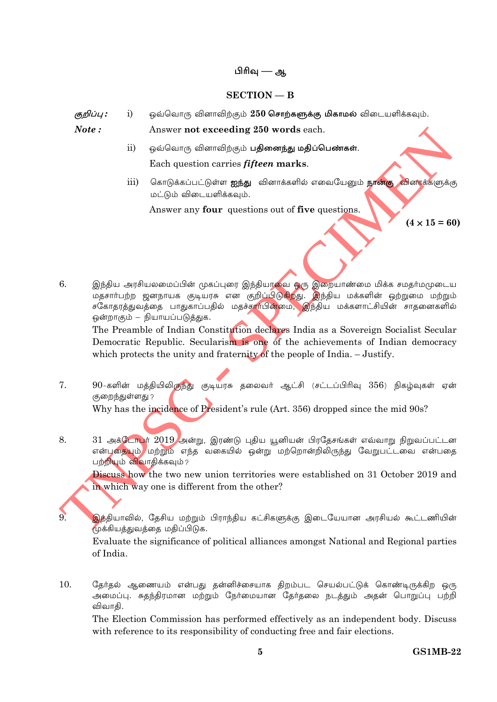#### பிரிவு — ஆ

#### $SECTION - B$

ஒவ்வொரு வினாவிற்கும் 250 சொற்களுக்கு மிகாமல் விடையளிக்கவும். குறிப்பு :  $i)$ 

Answer not exceeding 250 words each.

Note:

 $\mathbf{q}^{\prime}$ 

- $\overline{11}$ ஒவ்வொரு வினாவிற்கும் **பதினைந்து மதிப்பெண்கள்**. Each question carries *fifteen* marks.
- கொடுக்கப்பட்டுள்ள **ஐந்து** வினாக்களில் எவையேனும் **நான்கு வி**ன<mark>ா</mark>க்களுக்கு  $\overline{111}$ மட்டும் விடையளிக்கவும்.

Answer any four questions out of five questions.

 $(4 \times 15 = 60)$ 

இந்திய அரசியலமைப்பின் முகப்புரை இந்தியாவை ஒரு இறையாண்மை மிக்க சமதர்மமுடைய 6. சகோதரத்துவத்தை பாதுகாப்பதில் மதச்சார்பின்மை, இந்திய மக்களாட்சியின் சாதனைகளில் ஒன்றாகும் – நியாயப்படுத்துக.

The Preamble of Indian Constitution declares India as a Sovereign Socialist Secular Democratic Republic. Secularism is one of the achievements of Indian democracy which protects the unity and fraternity of the people of India.  $-$  Justify.

 $7.$ 90-களின் மத்தியிலிருந்து குடியரசு தலைவர் ஆட்சி (சட்டப்பிரிவு 356) நிகழ்வுகள் ஏன் குறைந்துள்ளது ?

Why has the incidence of President's rule (Art. 356) dropped since the mid 90s?

 $8<sub>1</sub>$ 31 அக்டோபர் 2019 அன்று, இரண்டு புதிய யூனியன் பிரதேசங்கள் எவ்வாறு நிறுவப்பட்டன என்புதையும்/ மற்றும் எந்த வகையில் ஒன்று மற்றொன்றிலிருந்து வேறுபட்டவை என்பதை பற்றியும் விவாகிக்கவும்?

Discuss how the two new union territories were established on 31 October 2019 and in which way one is different from the other?

இந்தியாவில், தேசிய மற்றும் பிராந்திய கட்சிகளுக்கு இடையேயான அரசியல் கூட்டணியின் முக்கியத்துவத்தை மதிப்பிடுக.

Evaluate the significance of political alliances amongst National and Regional parties of India

தேர்தல் ஆணையம் என்பது தன்னிச்சையாக திறம்பட செயல்பட்டுக் கொண்டிருக்கிற ஒரு 10. அமைப்பு. சுதந்திரமான மற்றும் நேர்மையான தேர்தலை நடத்தும் அதன் பொறுப்பு பற்றி விவாதி.

The Election Commission has performed effectively as an independent body. Discuss with reference to its responsibility of conducting free and fair elections.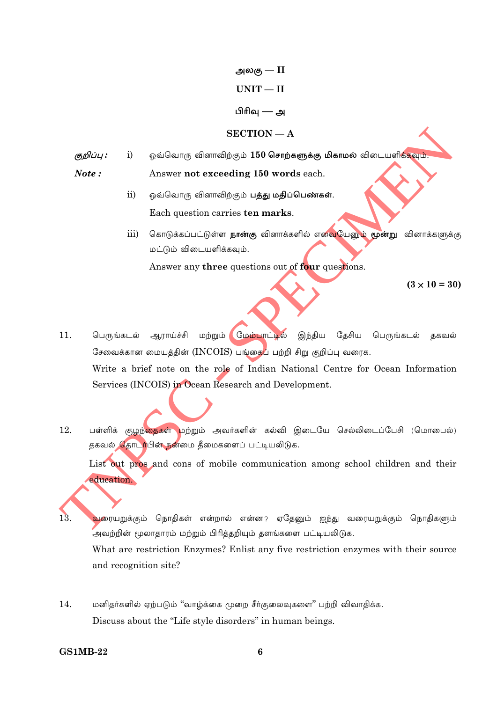அலகு $-\text{II}$  $UNIT - II$ பிரிவு — அ  $SECTION - A$ 

ஒவ்வொரு வினாவிற்கும் 150 சொ**ற்களுக்கு மிகாமல்** விடையளிக்கவும். குறிப்பு :  $\mathbf{i}$  $Note:$ Answer not exceeding 150 words each.

- $\mathbf{ii}$ ஒவ்வொரு வினாவிற்கும் பத்து மதிப்பெண்கள். Each question carries ten marks.
- கொடுக்கப்பட்டுள்ள **நான்கு** வினாக்களில் எவையேனும் **மூன்று** வினாக்களுக்கு  $\overline{111}$ மட்டும் விடையளிக்கவும்.

Answer any three questions out of four questions.

 $(3 \times 10 = 30)$ 

- $11.$ பெருங்கடல் ஆராய்ச்சி மற்றும் மேம்பாட்டில் இந்திய தேசிய பெருங்கடல் தகவல் சேவைக்கான மையத்தின் (INCOIS) பங்கை<mark>ப்</mark> பற்றி சிறு குறிப்பு வரைக. Write a brief note on the role of Indian National Centre for Ocean Information Services (INCOIS) in Ocean Research and Development.
- 12. பள்ளிக் குழந்தைகள் மற்றும் அவர்களின் கல்வி இடையே செல்லிடைப்பேசி (மொபைல்) தகவல் தொடர்பின் நன்மை தீமைகளைப் பட்டியலிடுக.

List out pros and cons of mobile communication among school children and their education.

13 வரையறுக்கும் நொதிகள் என்றால் என்ன? ஏதேனும் ஐந்து வரையறுக்கும் நொதிகளும் ,<br>அவற்றின் மூலாதாரம் மற்றும் பிரித்தறியும் தளங்களை பட்டியலிடுக.

What are restriction Enzymes? Enlist any five restriction enzymes with their source and recognition site?

14. மனிதர்களில் ஏற்படும் "வாழ்க்கை முறை சீர்குலைவுகளை" பற்றி விவாதிக்க. Discuss about the "Life style disorders" in human beings.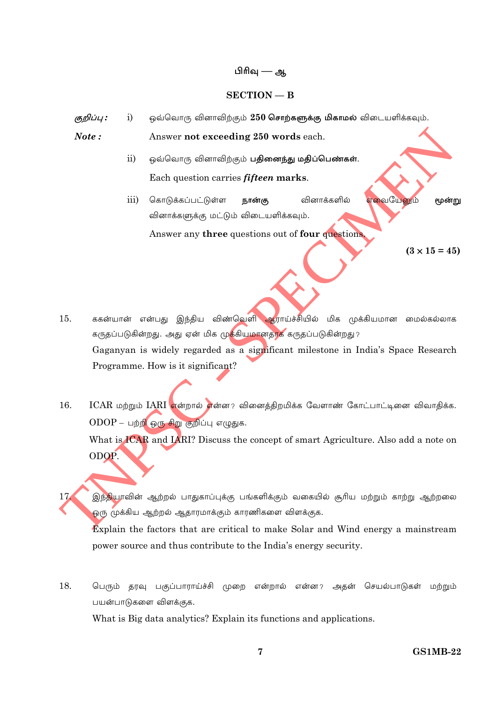#### பிரிவு — ஆ

#### $SECTION - B$

ஒவ்வொரு வினாவிற்கும் 250 சொற்களுக்கு மிகாமல் விடையளிக்கவும். குறிப்பு :  $\ddot{i}$ 

Note: Answer not exceeding 250 words each.

- ஒவ்வொரு வினாவிற்கும் **பதினைந்து மதிப்பெண்கள்**.  $\mathbf{ii}$ Each question carries *fifteen* marks.
- கொடுக்கப்பட்டுள்ள வினாக்களில் iii) நான்கு எவையேனும் மூன்று வினாக்களுக்கு மட்டும் விடையளிக்கவும். Answer any three questions out of four questions

 $(3 \times 15 = 45)$ 

- ககன்யான் என்பது இந்திய விண்வெளி ஆராய்ச்சியில் மிக முக்கியமான மைல்கல்லாக  $15.$ கருதப்படுகின்றது. அது ஏன் மிக மு<mark>க்</mark>கியமானதாக கருதப்படுகின்றது? Gaganyan is widely regarded as a significant milestone in India's Space Research Programme. How is it significant?
- 16. ICAR மற்றும் IARI என்றால் என்ன? வினைத்திறமிக்க வேளாண் கோட்பாட்டினை விவாதிக்க.  $ODOP - \Box p$ றி ஒரு சிறு குறிப்பு எழுதுக. What is ICAR and IARI? Discuss the concept of smart Agriculture. Also add a note on ODOP.
	- இந்தியாவின் ஆற்றல் பாதுகாப்புக்கு பங்களிக்கும் வகையில் சூரிய மற்றும் காற்று ஆற்றலை ஒரு முக்கிய ஆற்றல் ஆதாரமாக்கும் காரணிகளை விளக்குக.

Explain the factors that are critical to make Solar and Wind energy a mainstream power source and thus contribute to the India's energy security.

18. பெரும் தரவு பகுப்பாராய்ச்சி முறை என்றால் என்ன? அதன் செயல்பாடுகள் மற்றும் பயன்பாடுகளை விளக்குக.

What is Big data analytics? Explain its functions and applications.

 $17$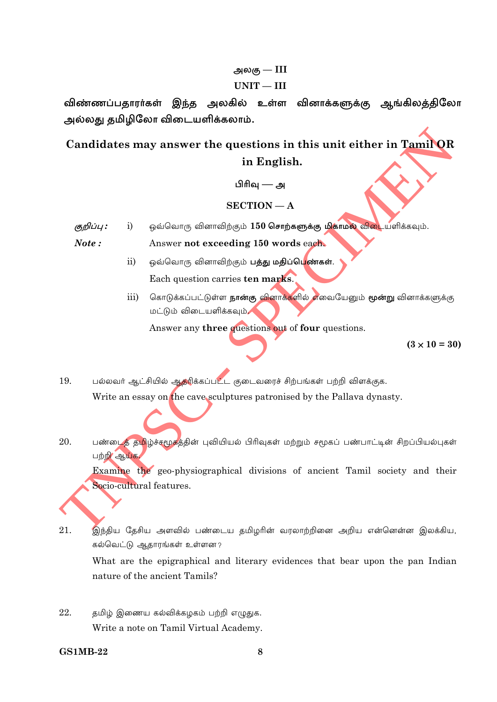# அலகு — $III$

#### $UNIT - III$

விண்ணப்பதாரர்கள் இந்த அலகில் உள்ள வினாக்களுக்கு ஆங்கிலத்திலோ அல்லது தமிழிலோ விடையளிக்கலாம்.

Candidates may answer the questions in this unit either in Tamil OR in English.

பிரிவு — அ

### $SECTION - A$

ஒவ்வொரு வினாவிற்கும் 150 சொற்களுக்கு மிகாமல் விடையளிக்கவும். குறிப்பு :  $i)$ 

Note: Answer not exceeding 150 words each.

- ஒவ்வொரு வினாவிற்கும் **பத்து மதிப்பெ<mark>ண்கள்</mark>.**  $\overline{11}$ Each question carries ten marks.
- கொடுக்கப்பட்டுள்ள **நான்கு வினாக்க**ளில் எவையேனும் **மூன்று** வினாக்களுக்கு iii) மட்டும் விடையளிக்கவும்

Answer any three questions out of four questions.

 $(3 \times 10 = 30)$ 

பல்லவர் ஆட்சியில் ஆத்ரிக்கப்பட்ட குடைவரைச் சிற்பங்கள் பற்றி விளக்குக. 19. Write an essay on the cave sculptures patronised by the Pallava dynasty.

பண்டைத் தமிழ்ச்சமூகத்தின் புவியியல் பிரிவுகள் மற்றும் சமூகப் பண்பாட்டின் சிறப்பியல்புகள் 20. பற்றி ஆய்க.

Examine the geo-physiographical divisions of ancient Tamil society and their Socio-cultural features.

21. இந்திய தேசிய அளவில் பண்டைய தமிழரின் வரலாற்றினை அறிய என்னென்ன இலக்கிய, கல்வெட்டு ஆதாரங்கள் உள்ளன?

What are the epigraphical and literary evidences that bear upon the pan Indian nature of the ancient Tamils?

22. தமிழ் இணைய கல்விக்கழகம் பற்றி எழுதுக. Write a note on Tamil Virtual Academy.

**GS1MB-22**